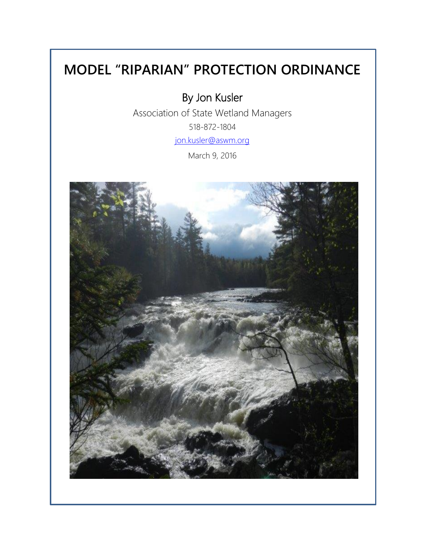# **MODEL "RIPARIAN" PROTECTION ORDINANCE**

By Jon Kusler

Association of State Wetland Managers 518-872-1804 [jon.kusler@aswm.org](mailto:jon.kusler@aswm.org)

March 9, 2016

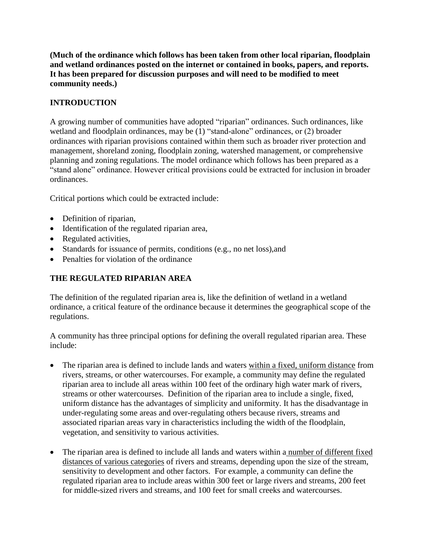**(Much of the ordinance which follows has been taken from other local riparian, floodplain and wetland ordinances posted on the internet or contained in books, papers, and reports. It has been prepared for discussion purposes and will need to be modified to meet community needs.)**

# **INTRODUCTION**

A growing number of communities have adopted "riparian" ordinances. Such ordinances, like wetland and floodplain ordinances, may be (1) "stand-alone" ordinances, or (2) broader ordinances with riparian provisions contained within them such as broader river protection and management, shoreland zoning, floodplain zoning, watershed management, or comprehensive planning and zoning regulations. The model ordinance which follows has been prepared as a "stand alone" ordinance. However critical provisions could be extracted for inclusion in broader ordinances.

Critical portions which could be extracted include:

- Definition of riparian,
- Identification of the regulated riparian area,
- Regulated activities,
- Standards for issuance of permits, conditions (e.g., no net loss), and
- Penalties for violation of the ordinance

# **THE REGULATED RIPARIAN AREA**

The definition of the regulated riparian area is, like the definition of wetland in a wetland ordinance, a critical feature of the ordinance because it determines the geographical scope of the regulations.

A community has three principal options for defining the overall regulated riparian area. These include:

- The riparian area is defined to include lands and waters within a fixed, uniform distance from rivers, streams, or other watercourses. For example, a community may define the regulated riparian area to include all areas within 100 feet of the ordinary high water mark of rivers, streams or other watercourses. Definition of the riparian area to include a single, fixed, uniform distance has the advantages of simplicity and uniformity. It has the disadvantage in under-regulating some areas and over-regulating others because rivers, streams and associated riparian areas vary in characteristics including the width of the floodplain, vegetation, and sensitivity to various activities.
- The riparian area is defined to include all lands and waters within a number of different fixed distances of various categories of rivers and streams, depending upon the size of the stream, sensitivity to development and other factors. For example, a community can define the regulated riparian area to include areas within 300 feet or large rivers and streams, 200 feet for middle-sized rivers and streams, and 100 feet for small creeks and watercourses.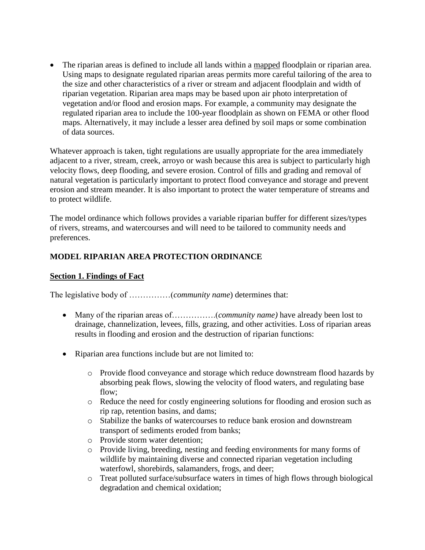The riparian areas is defined to include all lands within a mapped floodplain or riparian area. Using maps to designate regulated riparian areas permits more careful tailoring of the area to the size and other characteristics of a river or stream and adjacent floodplain and width of riparian vegetation. Riparian area maps may be based upon air photo interpretation of vegetation and/or flood and erosion maps. For example, a community may designate the regulated riparian area to include the 100**-**year floodplain as shown on FEMA or other flood maps. Alternatively, it may include a lesser area defined by soil maps or some combination of data sources.

Whatever approach is taken, tight regulations are usually appropriate for the area immediately adjacent to a river, stream, creek, arroyo or wash because this area is subject to particularly high velocity flows, deep flooding, and severe erosion. Control of fills and grading and removal of natural vegetation is particularly important to protect flood conveyance and storage and prevent erosion and stream meander. It is also important to protect the water temperature of streams and to protect wildlife.

The model ordinance which follows provides a variable riparian buffer for different sizes/types of rivers, streams, and watercourses and will need to be tailored to community needs and preferences.

# **MODEL RIPARIAN AREA PROTECTION ORDINANCE**

#### **Section 1. Findings of Fact**

The legislative body of ……………(*community name*) determines that:

- Many of the riparian areas of…………….(*community name)* have already been lost to drainage, channelization, levees, fills, grazing, and other activities. Loss of riparian areas results in flooding and erosion and the destruction of riparian functions:
- Riparian area functions include but are not limited to:
	- o Provide flood conveyance and storage which reduce downstream flood hazards by absorbing peak flows, slowing the velocity of flood waters, and regulating base flow;
	- o Reduce the need for costly engineering solutions for flooding and erosion such as rip rap, retention basins, and dams;
	- o Stabilize the banks of watercourses to reduce bank erosion and downstream transport of sediments eroded from banks;
	- o Provide storm water detention;
	- o Provide living, breeding, nesting and feeding environments for many forms of wildlife by maintaining diverse and connected riparian vegetation including waterfowl, shorebirds, salamanders, frogs, and deer;
	- o Treat polluted surface/subsurface waters in times of high flows through biological degradation and chemical oxidation;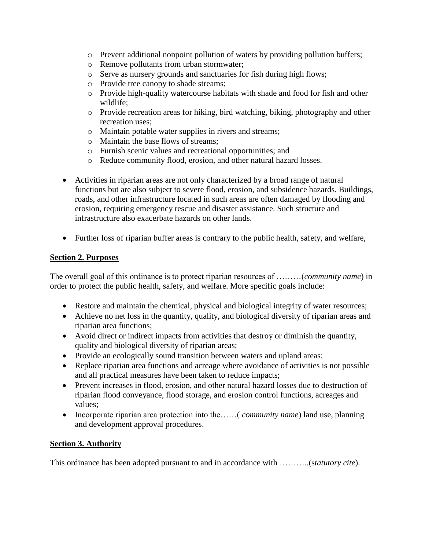- $\circ$  Prevent additional nonpoint pollution of waters by providing pollution buffers;
- o Remove pollutants from urban stormwater;
- o Serve as nursery grounds and sanctuaries for fish during high flows;
- o Provide tree canopy to shade streams;
- o Provide high-quality watercourse habitats with shade and food for fish and other wildlife;
- o Provide recreation areas for hiking, bird watching, biking, photography and other recreation uses;
- o Maintain potable water supplies in rivers and streams;
- o Maintain the base flows of streams;
- o Furnish scenic values and recreational opportunities; and
- o Reduce community flood, erosion, and other natural hazard losses.
- Activities in riparian areas are not only characterized by a broad range of natural functions but are also subject to severe flood, erosion, and subsidence hazards. Buildings, roads, and other infrastructure located in such areas are often damaged by flooding and erosion, requiring emergency rescue and disaster assistance. Such structure and infrastructure also exacerbate hazards on other lands.
- Further loss of riparian buffer areas is contrary to the public health, safety, and welfare,

#### **Section 2. Purposes**

The overall goal of this ordinance is to protect riparian resources of ………(*community name*) in order to protect the public health, safety, and welfare. More specific goals include:

- Restore and maintain the chemical, physical and biological integrity of water resources;
- Achieve no net loss in the quantity, quality, and biological diversity of riparian areas and riparian area functions;
- Avoid direct or indirect impacts from activities that destroy or diminish the quantity, quality and biological diversity of riparian areas;
- Provide an ecologically sound transition between waters and upland areas;
- Replace riparian area functions and acreage where avoidance of activities is not possible and all practical measures have been taken to reduce impacts;
- Prevent increases in flood, erosion, and other natural hazard losses due to destruction of riparian flood conveyance, flood storage, and erosion control functions, acreages and values;
- Incorporate riparian area protection into the……(*community name*) land use, planning and development approval procedures.

## **Section 3. Authority**

This ordinance has been adopted pursuant to and in accordance with ………..(s*tatutory cite*).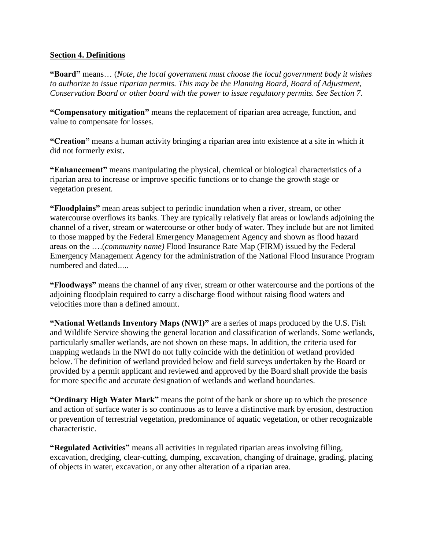#### **Section 4. Definitions**

**"Board"** means… (*Note, the local government must choose the local government body it wishes to authorize to issue riparian permits. This may be the Planning Board, Board of Adjustment, Conservation Board or other board with the power to issue regulatory permits. See Section 7.*

**"Compensatory mitigation"** means the replacement of riparian area acreage, function, and value to compensate for losses.

**"Creation"** means a human activity bringing a riparian area into existence at a site in which it did not formerly exist**.**

**"Enhancement"** means manipulating the physical, chemical or biological characteristics of a riparian area to increase or improve specific functions or to change the growth stage or vegetation present.

**"Floodplains"** mean areas subject to periodic inundation when a river, stream, or other watercourse overflows its banks. They are typically relatively flat areas or lowlands adjoining the channel of a river, stream or watercourse or other body of water. They include but are not limited to those mapped by the Federal Emergency Management Agency and shown as flood hazard areas on the ….(*community name)* Flood Insurance Rate Map (FIRM) issued by the Federal Emergency Management Agency for the administration of the National Flood Insurance Program numbered and dated*…..*

**"Floodways"** means the channel of any river, stream or other watercourse and the portions of the adjoining floodplain required to carry a discharge flood without raising flood waters and velocities more than a defined amount.

**"National Wetlands Inventory Maps (NWI)"** are a series of maps produced by the U.S. Fish and Wildlife Service showing the general location and classification of wetlands. Some wetlands, particularly smaller wetlands, are not shown on these maps. In addition, the criteria used for mapping wetlands in the NWI do not fully coincide with the definition of wetland provided below. The definition of wetland provided below and field surveys undertaken by the Board or provided by a permit applicant and reviewed and approved by the Board shall provide the basis for more specific and accurate designation of wetlands and wetland boundaries.

**"Ordinary High Water Mark"** means the point of the bank or shore up to which the presence and action of surface water is so continuous as to leave a distinctive mark by erosion, destruction or prevention of terrestrial vegetation, predominance of aquatic vegetation, or other recognizable characteristic.

**"Regulated Activities"** means all activities in regulated riparian areas involving filling, excavation, dredging, clear-cutting, dumping, excavation, changing of drainage, grading, placing of objects in water, excavation, or any other alteration of a riparian area.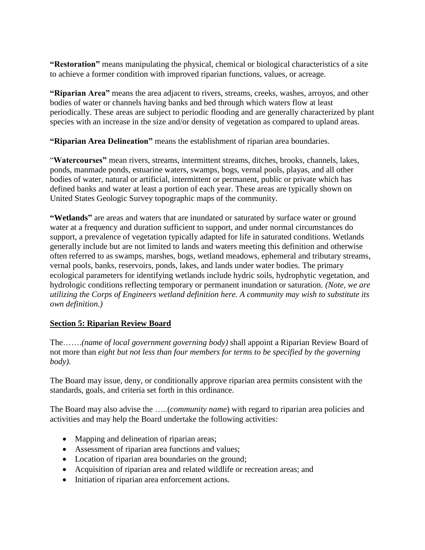**"Restoration"** means manipulating the physical, chemical or biological characteristics of a site to achieve a former condition with improved riparian functions, values, or acreage.

**"Riparian Area"** means the area adjacent to rivers, streams, creeks, washes, arroyos, and other bodies of water or channels having banks and bed through which waters flow at least periodically. These areas are subject to periodic flooding and are generally characterized by plant species with an increase in the size and/or density of vegetation as compared to upland areas.

**"Riparian Area Delineation"** means the establishment of riparian area boundaries.

"**Watercourses"** mean rivers, streams, intermittent streams, ditches, brooks, channels, lakes, ponds, manmade ponds, estuarine waters, swamps, bogs, vernal pools, playas, and all other bodies of water, natural or artificial, intermittent or permanent, public or private which has defined banks and water at least a portion of each year. These areas are typically shown on United States Geologic Survey topographic maps of the community.

"Wetlands" are areas and waters that are inundated or saturated by surface water or ground water at a frequency and duration sufficient to support, and under normal circumstances do support, a prevalence of vegetation typically adapted for life in saturated conditions. Wetlands generally include but are not limited to lands and waters meeting this definition and otherwise often referred to as swamps, marshes, bogs, wetland meadows, ephemeral and tributary streams, vernal pools, banks, reservoirs, ponds, lakes, and lands under water bodies. The primary ecological parameters for identifying wetlands include hydric soils, hydrophytic vegetation, and hydrologic conditions reflecting temporary or permanent inundation or saturation. *(Note, we are utilizing the Corps of Engineers wetland definition here. A community may wish to substitute its own definition.)* 

## **Section 5: Riparian Review Board**

The…….*(name of local government governing body)* shall appoint a Riparian Review Board of not more than *eight but not less than four members for terms to be specified by the governing body).*

The Board may issue, deny, or conditionally approve riparian area permits consistent with the standards, goals, and criteria set forth in this ordinance.

The Board may also advise the …..(*community name*) with regard to riparian area policies and activities and may help the Board undertake the following activities:

- Mapping and delineation of riparian areas;
- Assessment of riparian area functions and values;
- Location of riparian area boundaries on the ground;
- Acquisition of riparian area and related wildlife or recreation areas; and
- Initiation of riparian area enforcement actions.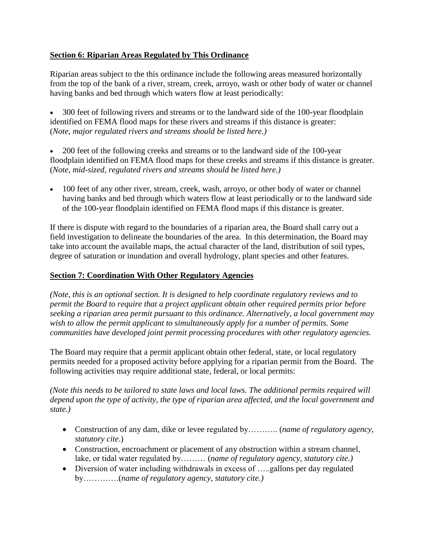# **Section 6: Riparian Areas Regulated by This Ordinance**

Riparian areas subject to the this ordinance include the following areas measured horizontally from the top of the bank of a river, stream, creek, arroyo, wash or other body of water or channel having banks and bed through which waters flow at least periodically:

 300 feet of following rivers and streams or to the landward side of the 100**-**year floodplain identified on FEMA flood maps for these rivers and streams if this distance is greater: (*Note, major regulated rivers and streams should be listed here.)*

 200 feet of the following creeks and streams or to the landward side of the 100**-**year floodplain identified on FEMA flood maps for these creeks and streams if this distance is greater. (*Note, mid-sized, regulated rivers and streams should be listed here.)*

 100 feet of any other river, stream, creek, wash, arroyo, or other body of water or channel having banks and bed through which waters flow at least periodically or to the landward side of the 100**-**year floodplain identified on FEMA flood maps if this distance is greater.

If there is dispute with regard to the boundaries of a riparian area, the Board shall carry out a field investigation to delineate the boundaries of the area. In this determination, the Board may take into account the available maps, the actual character of the land, distribution of soil types, degree of saturation or inundation and overall hydrology, plant species and other features.

# **Section 7: Coordination With Other Regulatory Agencies**

*(Note, this is an optional section. It is designed to help coordinate regulatory reviews and to permit the Board to require that a project applicant obtain other required permits prior before seeking a riparian area permit pursuant to this ordinance. Alternatively, a local government may wish to allow the permit applicant to simultaneously apply for a number of permits. Some communities have developed joint permit processing procedures with other regulatory agencies.* 

The Board may require that a permit applicant obtain other federal, state, or local regulatory permits needed for a proposed activity before applying for a riparian permit from the Board. The following activities may require additional state, federal, or local permits:

*(Note this needs to be tailored to state laws and local laws. The additional permits required will depend upon the type of activity, the type of riparian area affected, and the local government and state.)*

- Construction of any dam, dike or levee regulated by……….. (*name of regulatory agency, statutory cite*.)
- Construction, encroachment or placement of any obstruction within a stream channel, lake, or tidal water regulated by……… (*name of regulatory agency, statutory cite.)*
- Diversion of water including withdrawals in excess of …..gallons per day regulated by………….(*name of regulatory agency, statutory cite.)*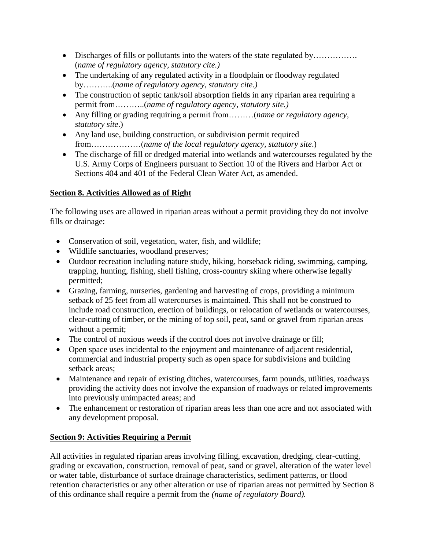- Discharges of fills or pollutants into the waters of the state regulated by……………. (*name of regulatory agency, statutory cite.)*
- The undertaking of any regulated activity in a floodplain or floodway regulated by………..(*name of regulatory agency, statutory cite.)*
- The construction of septic tank/soil absorption fields in any riparian area requiring a permit from………..(*name of regulatory agency, statutory site.)*
- Any filling or grading requiring a permit from………(*name or regulatory agency, statutory site*.)
- Any land use, building construction, or subdivision permit required from………………(*name of the local regulatory agency, statutory site*.)
- The discharge of fill or dredged material into wetlands and watercourses regulated by the U.S. Army Corps of Engineers pursuant to Section 10 of the Rivers and Harbor Act or Sections 404 and 401 of the Federal Clean Water Act, as amended.

# **Section 8. Activities Allowed as of Right**

The following uses are allowed in riparian areas without a permit providing they do not involve fills or drainage:

- Conservation of soil, vegetation, water, fish, and wildlife;
- Wildlife sanctuaries, woodland preserves;
- Outdoor recreation including nature study, hiking, horseback riding, swimming, camping, trapping, hunting, fishing, shell fishing, cross-country skiing where otherwise legally permitted;
- Grazing, farming, nurseries, gardening and harvesting of crops, providing a minimum setback of 25 feet from all watercourses is maintained. This shall not be construed to include road construction, erection of buildings, or relocation of wetlands or watercourses, clear**-**cutting of timber, or the mining of top soil, peat, sand or gravel from riparian areas without a permit;
- The control of noxious weeds if the control does not involve drainage or fill;
- Open space uses incidental to the enjoyment and maintenance of adjacent residential, commercial and industrial property such as open space for subdivisions and building setback areas:
- Maintenance and repair of existing ditches, watercourses, farm pounds, utilities, roadways providing the activity does not involve the expansion of roadways or related improvements into previously unimpacted areas; and
- The enhancement or restoration of riparian areas less than one acre and not associated with any development proposal.

# **Section 9: Activities Requiring a Permit**

All activities in regulated riparian areas involving filling, excavation, dredging, clear-cutting, grading or excavation, construction, removal of peat, sand or gravel, alteration of the water level or water table, disturbance of surface drainage characteristics, sediment patterns, or flood retention characteristics or any other alteration or use of riparian areas not permitted by Section 8 of this ordinance shall require a permit from the *(name of regulatory Board).*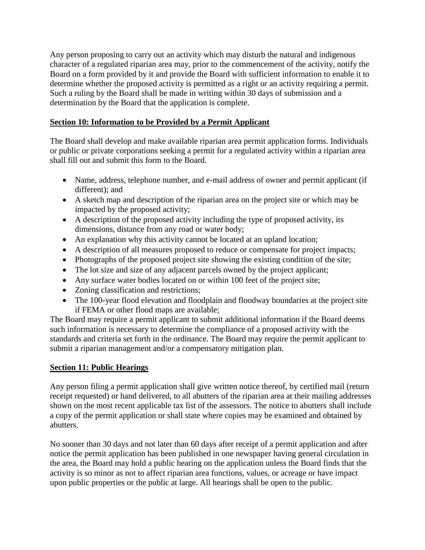Any person proposing to carry out an activity which may disturb the natural and indigenous character of a regulated riparian area may, prior to the commencement of the activity, notify the Board on a form provided by it and provide the Board with sufficient information to enable it to determine whether the proposed activity is permitted as a right or an activity requiring a permit. Such a ruling by the Board shall be made in writing within 30 days of submission and a determination by the Board that the application is complete.

# **Section 10: Information to be Provided by a Permit Applicant**

The Board shall develop and make available riparian area permit application forms. Individuals or public or private corporations seeking a permit for a regulated activity within a riparian area shall fill out and submit this form to the Board.

- Name, address, telephone number, and e-mail address of owner and permit applicant (if different); and
- A sketch map and description of the riparian area on the project site or which may be impacted by the proposed activity;
- A description of the proposed activity including the type of proposed activity, its dimensions, distance from any road or water body;
- An explanation why this activity cannot be located at an upland location;
- A description of all measures proposed to reduce or compensate for project impacts;
- Photographs of the proposed project site showing the existing condition of the site;
- The lot size and size of any adjacent parcels owned by the project applicant;
- Any surface water bodies located on or within 100 feet of the project site;
- Zoning classification and restrictions;
- The 100**-**year flood elevation and floodplain and floodway boundaries at the project site if FEMA or other flood maps are available;

The Board may require a permit applicant to submit additional information if the Board deems such information is necessary to determine the compliance of a proposed activity with the standards and criteria set forth in the ordinance. The Board may require the permit applicant to submit a riparian management and/or a compensatory mitigation plan.

## **Section 11: Public Hearings**

Any person filing a permit application shall give written notice thereof, by certified mail (return receipt requested) or hand delivered, to all abutters of the riparian area at their mailing addresses shown on the most recent applicable tax list of the assessors. The notice to abutters shall include a copy of the permit application or shall state where copies may be examined and obtained by abutters.

No sooner than 30 days and not later than 60 days after receipt of a permit application and after notice the permit application has been published in one newspaper having general circulation in the area, the Board may hold a public hearing on the application unless the Board finds that the activity is so minor as not to affect riparian area functions, values, or acreage or have impact upon public properties or the public at large. All hearings shall be open to the public.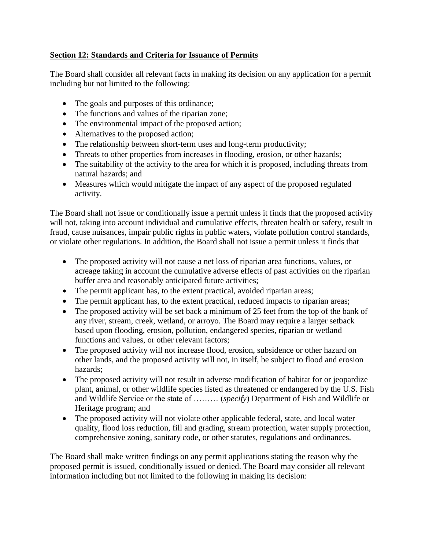# **Section 12: Standards and Criteria for Issuance of Permits**

The Board shall consider all relevant facts in making its decision on any application for a permit including but not limited to the following:

- The goals and purposes of this ordinance;
- The functions and values of the riparian zone;
- The environmental impact of the proposed action;
- Alternatives to the proposed action;
- The relationship between short**-**term uses and long**-**term productivity;
- Threats to other properties from increases in flooding, erosion, or other hazards;
- The suitability of the activity to the area for which it is proposed, including threats from natural hazards; and
- Measures which would mitigate the impact of any aspect of the proposed regulated activity.

The Board shall not issue or conditionally issue a permit unless it finds that the proposed activity will not, taking into account individual and cumulative effects, threaten health or safety, result in fraud, cause nuisances, impair public rights in public waters, violate pollution control standards, or violate other regulations. In addition, the Board shall not issue a permit unless it finds that

- The proposed activity will not cause a net loss of riparian area functions, values, or acreage taking in account the cumulative adverse effects of past activities on the riparian buffer area and reasonably anticipated future activities;
- The permit applicant has, to the extent practical, avoided riparian areas;
- The permit applicant has, to the extent practical, reduced impacts to riparian areas;
- The proposed activity will be set back a minimum of 25 feet from the top of the bank of any river, stream, creek, wetland, or arroyo. The Board may require a larger setback based upon flooding, erosion, pollution, endangered species, riparian or wetland functions and values, or other relevant factors;
- The proposed activity will not increase flood, erosion, subsidence or other hazard on other lands, and the proposed activity will not, in itself, be subject to flood and erosion hazards;
- The proposed activity will not result in adverse modification of habitat for or jeopardize plant, animal, or other wildlife species listed as threatened or endangered by the U.S. Fish and Wildlife Service or the state of ……… (*specify*) Department of Fish and Wildlife or Heritage program; and
- The proposed activity will not violate other applicable federal, state, and local water quality, flood loss reduction, fill and grading, stream protection, water supply protection, comprehensive zoning, sanitary code, or other statutes, regulations and ordinances.

The Board shall make written findings on any permit applications stating the reason why the proposed permit is issued, conditionally issued or denied. The Board may consider all relevant information including but not limited to the following in making its decision: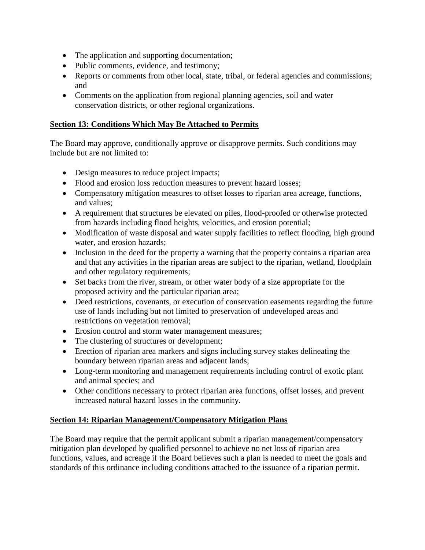- The application and supporting documentation;
- Public comments, evidence, and testimony;
- Reports or comments from other local, state, tribal, or federal agencies and commissions; and
- Comments on the application from regional planning agencies, soil and water conservation districts, or other regional organizations.

## **Section 13: Conditions Which May Be Attached to Permits**

The Board may approve, conditionally approve or disapprove permits. Such conditions may include but are not limited to:

- Design measures to reduce project impacts;
- Flood and erosion loss reduction measures to prevent hazard losses;
- Compensatory mitigation measures to offset losses to riparian area acreage, functions, and values;
- A requirement that structures be elevated on piles, flood**-**proofed or otherwise protected from hazards including flood heights, velocities, and erosion potential;
- Modification of waste disposal and water supply facilities to reflect flooding, high ground water, and erosion hazards;
- Inclusion in the deed for the property a warning that the property contains a riparian area and that any activities in the riparian areas are subject to the riparian, wetland, floodplain and other regulatory requirements;
- Set backs from the river, stream, or other water body of a size appropriate for the proposed activity and the particular riparian area;
- Deed restrictions, covenants, or execution of conservation easements regarding the future use of lands including but not limited to preservation of undeveloped areas and restrictions on vegetation removal;
- Erosion control and storm water management measures;
- The clustering of structures or development;
- Erection of riparian area markers and signs including survey stakes delineating the boundary between riparian areas and adjacent lands;
- Long**-**term monitoring and management requirements including control of exotic plant and animal species; and
- Other conditions necessary to protect riparian area functions, offset losses, and prevent increased natural hazard losses in the community.

## **Section 14: Riparian Management/Compensatory Mitigation Plans**

The Board may require that the permit applicant submit a riparian management/compensatory mitigation plan developed by qualified personnel to achieve no net loss of riparian area functions, values, and acreage if the Board believes such a plan is needed to meet the goals and standards of this ordinance including conditions attached to the issuance of a riparian permit.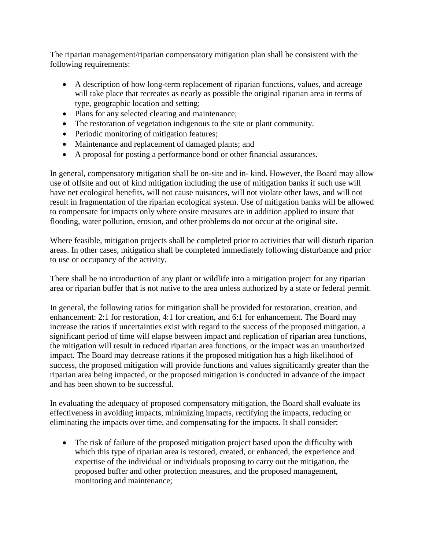The riparian management/riparian compensatory mitigation plan shall be consistent with the following requirements:

- A description of how long**-**term replacement of riparian functions, values, and acreage will take place that recreates as nearly as possible the original riparian area in terms of type, geographic location and setting;
- Plans for any selected clearing and maintenance;
- The restoration of vegetation indigenous to the site or plant community.
- Periodic monitoring of mitigation features;
- Maintenance and replacement of damaged plants; and
- A proposal for posting a performance bond or other financial assurances.

In general, compensatory mitigation shall be on-site and in- kind. However, the Board may allow use of offsite and out of kind mitigation including the use of mitigation banks if such use will have net ecological benefits, will not cause nuisances, will not violate other laws, and will not result in fragmentation of the riparian ecological system. Use of mitigation banks will be allowed to compensate for impacts only where onsite measures are in addition applied to insure that flooding, water pollution, erosion, and other problems do not occur at the original site.

Where feasible, mitigation projects shall be completed prior to activities that will disturb riparian areas. In other cases, mitigation shall be completed immediately following disturbance and prior to use or occupancy of the activity.

There shall be no introduction of any plant or wildlife into a mitigation project for any riparian area or riparian buffer that is not native to the area unless authorized by a state or federal permit.

In general, the following ratios for mitigation shall be provided for restoration, creation, and enhancement: 2:1 for restoration, 4:1 for creation, and 6:1 for enhancement. The Board may increase the ratios if uncertainties exist with regard to the success of the proposed mitigation, a significant period of time will elapse between impact and replication of riparian area functions, the mitigation will result in reduced riparian area functions, or the impact was an unauthorized impact. The Board may decrease rations if the proposed mitigation has a high likelihood of success, the proposed mitigation will provide functions and values significantly greater than the riparian area being impacted, or the proposed mitigation is conducted in advance of the impact and has been shown to be successful.

In evaluating the adequacy of proposed compensatory mitigation, the Board shall evaluate its effectiveness in avoiding impacts, minimizing impacts, rectifying the impacts, reducing or eliminating the impacts over time, and compensating for the impacts. It shall consider:

 The risk of failure of the proposed mitigation project based upon the difficulty with which this type of riparian area is restored, created, or enhanced, the experience and expertise of the individual or individuals proposing to carry out the mitigation, the proposed buffer and other protection measures, and the proposed management, monitoring and maintenance;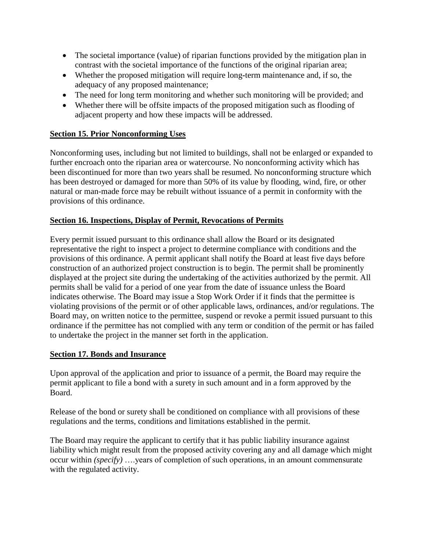- The societal importance (value) of riparian functions provided by the mitigation plan in contrast with the societal importance of the functions of the original riparian area;
- Whether the proposed mitigation will require long**-**term maintenance and, if so, the adequacy of any proposed maintenance;
- The need for long term monitoring and whether such monitoring will be provided; and
- Whether there will be offsite impacts of the proposed mitigation such as flooding of adjacent property and how these impacts will be addressed.

#### **Section 15. Prior Nonconforming Uses**

Nonconforming uses, including but not limited to buildings, shall not be enlarged or expanded to further encroach onto the riparian area or watercourse. No nonconforming activity which has been discontinued for more than two years shall be resumed. No nonconforming structure which has been destroyed or damaged for more than 50% of its value by flooding, wind, fire, or other natural or man-made force may be rebuilt without issuance of a permit in conformity with the provisions of this ordinance.

## **Section 16. Inspections, Display of Permit, Revocations of Permits**

Every permit issued pursuant to this ordinance shall allow the Board or its designated representative the right to inspect a project to determine compliance with conditions and the provisions of this ordinance. A permit applicant shall notify the Board at least five days before construction of an authorized project construction is to begin. The permit shall be prominently displayed at the project site during the undertaking of the activities authorized by the permit. All permits shall be valid for a period of one year from the date of issuance unless the Board indicates otherwise. The Board may issue a Stop Work Order if it finds that the permittee is violating provisions of the permit or of other applicable laws, ordinances, and/or regulations. The Board may, on written notice to the permittee, suspend or revoke a permit issued pursuant to this ordinance if the permittee has not complied with any term or condition of the permit or has failed to undertake the project in the manner set forth in the application.

#### **Section 17. Bonds and Insurance**

Upon approval of the application and prior to issuance of a permit, the Board may require the permit applicant to file a bond with a surety in such amount and in a form approved by the Board.

Release of the bond or surety shall be conditioned on compliance with all provisions of these regulations and the terms, conditions and limitations established in the permit.

The Board may require the applicant to certify that it has public liability insurance against liability which might result from the proposed activity covering any and all damage which might occur within *(specify)* ….years of completion of such operations, in an amount commensurate with the regulated activity.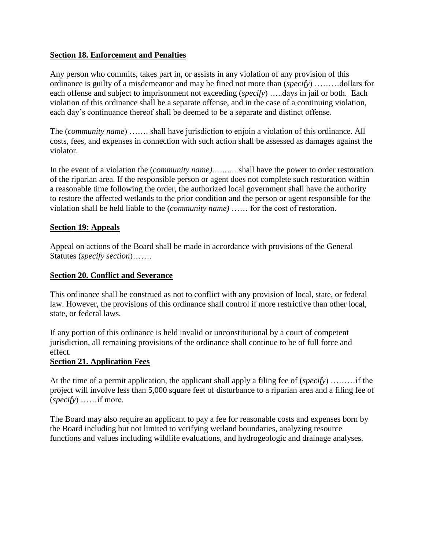## **Section 18. Enforcement and Penalties**

Any person who commits, takes part in, or assists in any violation of any provision of this ordinance is guilty of a misdemeanor and may be fined not more than (*specify*) ………dollars for each offense and subject to imprisonment not exceeding (*specify*) …..days in jail or both. Each violation of this ordinance shall be a separate offense, and in the case of a continuing violation, each day's continuance thereof shall be deemed to be a separate and distinct offense.

The (*community name*) ……. shall have jurisdiction to enjoin a violation of this ordinance. All costs, fees, and expenses in connection with such action shall be assessed as damages against the violator.

In the event of a violation the (*community name)……….* shall have the power to order restoration of the riparian area. If the responsible person or agent does not complete such restoration within a reasonable time following the order, the authorized local government shall have the authority to restore the affected wetlands to the prior condition and the person or agent responsible for the violation shall be held liable to the (*community name)* …… for the cost of restoration.

#### **Section 19: Appeals**

Appeal on actions of the Board shall be made in accordance with provisions of the General Statutes (*specify section*)…….

#### **Section 20. Conflict and Severance**

This ordinance shall be construed as not to conflict with any provision of local, state, or federal law. However, the provisions of this ordinance shall control if more restrictive than other local, state, or federal laws.

If any portion of this ordinance is held invalid or unconstitutional by a court of competent jurisdiction, all remaining provisions of the ordinance shall continue to be of full force and effect.

#### **Section 21. Application Fees**

At the time of a permit application, the applicant shall apply a filing fee of (*specify*) ………if the project will involve less than 5,000 square feet of disturbance to a riparian area and a filing fee of (*specify*) ……if more.

The Board may also require an applicant to pay a fee for reasonable costs and expenses born by the Board including but not limited to verifying wetland boundaries, analyzing resource functions and values including wildlife evaluations, and hydrogeologic and drainage analyses.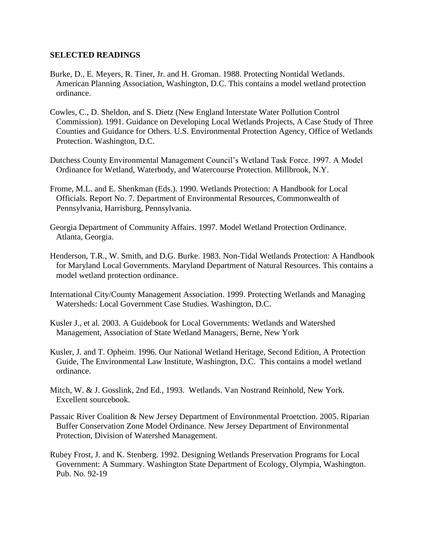#### **SELECTED READINGS**

- Burke, D., E. Meyers, R. Tiner, Jr. and H. Groman. 1988. Protecting Nontidal Wetlands. American Planning Association, Washington, D.C. This contains a model wetland protection ordinance.
- Cowles, C., D. Sheldon, and S. Dietz (New England Interstate Water Pollution Control Commission). 1991. Guidance on Developing Local Wetlands Projects, A Case Study of Three Counties and Guidance for Others. U.S. Environmental Protection Agency, Office of Wetlands Protection. Washington, D.C.
- Dutchess County Environmental Management Council's Wetland Task Force. 1997. A Model Ordinance for Wetland, Waterbody, and Watercourse Protection. Millbrook, N.Y.
- Frome, M.L. and E. Shenkman (Eds.). 1990. Wetlands Protection: A Handbook for Local Officials. Report No. 7. Department of Environmental Resources, Commonwealth of Pennsylvania, Harrisburg, Pennsylvania.
- Georgia Department of Community Affairs. 1997. Model Wetland Protection Ordinance. Atlanta, Georgia.
- Henderson, T.R., W. Smith, and D.G. Burke. 1983. Non-Tidal Wetlands Protection: A Handbook for Maryland Local Governments. Maryland Department of Natural Resources. This contains a model wetland protection ordinance.
- International City/County Management Association. 1999. Protecting Wetlands and Managing Watersheds: Local Government Case Studies. Washington, D.C.
- Kusler J., et al. 2003. A Guidebook for Local Governments: Wetlands and Watershed Management, Association of State Wetland Managers, Berne, New York
- Kusler, J. and T. Opheim. 1996. Our National Wetland Heritage, Second Edition, A Protection Guide, The Environmental Law Institute, Washington, D.C. This contains a model wetland ordinance.
- Mitch, W. & J. Gosslink, 2nd Ed., 1993. Wetlands. Van Nostrand Reinhold, New York. Excellent sourcebook.
- Passaic River Coalition & New Jersey Department of Environmental Proetction. 2005. Riparian Buffer Conservation Zone Model Ordinance. New Jersey Department of Environmental Protection, Division of Watershed Management.
- Rubey Frost, J. and K. Stenberg. 1992. Designing Wetlands Preservation Programs for Local Government: A Summary. Washington State Department of Ecology, Olympia, Washington. Pub. No. 92-19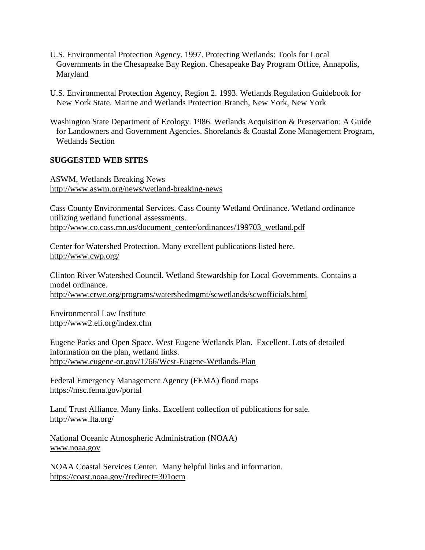- U.S. Environmental Protection Agency. 1997. Protecting Wetlands: Tools for Local Governments in the Chesapeake Bay Region. Chesapeake Bay Program Office, Annapolis, Maryland
- U.S. Environmental Protection Agency, Region 2. 1993. Wetlands Regulation Guidebook for New York State. Marine and Wetlands Protection Branch, New York, New York
- Washington State Department of Ecology. 1986. Wetlands Acquisition & Preservation: A Guide for Landowners and Government Agencies. Shorelands & Coastal Zone Management Program, Wetlands Section

#### **SUGGESTED WEB SITES**

ASWM, Wetlands Breaking News <http://www.aswm.org/news/wetland-breaking-news>

Cass County Environmental Services. Cass County Wetland Ordinance. Wetland ordinance utilizing wetland functional assessments. [http://www.co.cass.mn.us/document\\_center/ordinances/199703\\_wetland.pdf](http://www.co.cass.mn.us/document_center/ordinances/199703_wetland.pdf)

Center for Watershed Protection. Many excellent publications listed here. <http://www.cwp.org/>

Clinton River Watershed Council. Wetland Stewardship for Local Governments. Contains a model ordinance. <http://www.crwc.org/programs/watershedmgmt/scwetlands/scwofficials.html>

Environmental Law Institute <http://www2.eli.org/index.cfm>

Eugene Parks and Open Space. West Eugene Wetlands Plan. Excellent. Lots of detailed information on the plan, wetland links. <http://www.eugene-or.gov/1766/West-Eugene-Wetlands-Plan>

Federal Emergency Management Agency (FEMA) flood maps <https://msc.fema.gov/portal>

Land Trust Alliance. Many links. Excellent collection of publications for sale. <http://www.lta.org/>

National Oceanic Atmospheric Administration (NOAA) [www.noaa.gov](http://www.noaa.gov/)

NOAA Coastal Services Center. Many helpful links and information. <https://coast.noaa.gov/?redirect=301ocm>